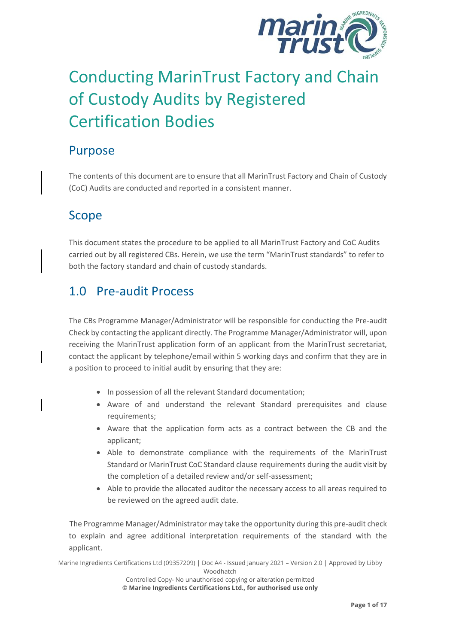

# Conducting MarinTrust Factory and Chain of Custody Audits by Registered Certification Bodies

## Purpose

The contents of this document are to ensure that all MarinTrust Factory and Chain of Custody (CoC) Audits are conducted and reported in a consistent manner.

## Scope

This document states the procedure to be applied to all MarinTrust Factory and CoC Audits carried out by all registered CBs. Herein, we use the term "MarinTrust standards" to refer to both the factory standard and chain of custody standards.

## 1.0 Pre-audit Process

The CBs Programme Manager/Administrator will be responsible for conducting the Pre-audit Check by contacting the applicant directly. The Programme Manager/Administrator will, upon receiving the MarinTrust application form of an applicant from the MarinTrust secretariat, contact the applicant by telephone/email within 5 working days and confirm that they are in a position to proceed to initial audit by ensuring that they are:

- In possession of all the relevant Standard documentation;
- Aware of and understand the relevant Standard prerequisites and clause requirements;
- Aware that the application form acts as a contract between the CB and the applicant;
- Able to demonstrate compliance with the requirements of the MarinTrust Standard or MarinTrust CoC Standard clause requirements during the audit visit by the completion of a detailed review and/or self-assessment;
- Able to provide the allocated auditor the necessary access to all areas required to be reviewed on the agreed audit date.

The Programme Manager/Administrator may take the opportunity during this pre-audit check to explain and agree additional interpretation requirements of the standard with the applicant.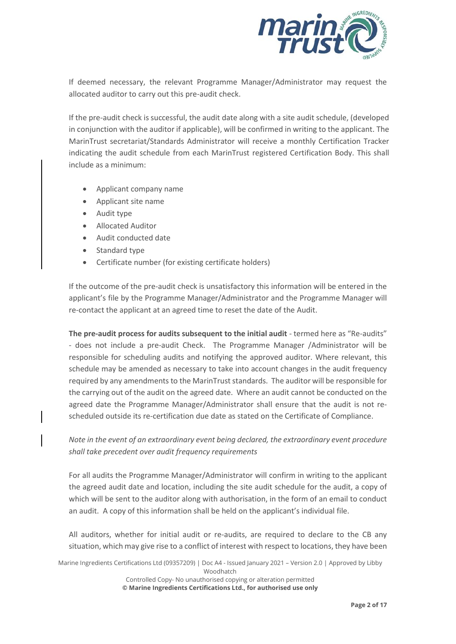

If deemed necessary, the relevant Programme Manager/Administrator may request the allocated auditor to carry out this pre-audit check.

If the pre-audit check is successful, the audit date along with a site audit schedule, (developed in conjunction with the auditor if applicable), will be confirmed in writing to the applicant. The MarinTrust secretariat/Standards Administrator will receive a monthly Certification Tracker indicating the audit schedule from each MarinTrust registered Certification Body. This shall include as a minimum:

- Applicant company name
- Applicant site name
- Audit type
- Allocated Auditor
- Audit conducted date
- Standard type
- Certificate number (for existing certificate holders)

 If the outcome of the pre-audit check is unsatisfactory this information will be entered in the applicant's file by the Programme Manager/Administrator and the Programme Manager will re-contact the applicant at an agreed time to reset the date of the Audit.

**The pre-audit process for audits subsequent to the initial audit** - termed here as "Re-audits" - does not include a pre-audit Check. The Programme Manager /Administrator will be responsible for scheduling audits and notifying the approved auditor. Where relevant, this schedule may be amended as necessary to take into account changes in the audit frequency required by any amendments to the MarinTruststandards. The auditor will be responsible for the carrying out of the audit on the agreed date. Where an audit cannot be conducted on the agreed date the Programme Manager/Administrator shall ensure that the audit is not rescheduled outside its re-certification due date as stated on the Certificate of Compliance.

*Note in the event of an extraordinary event being declared, the extraordinary event procedure shall take precedent over audit frequency requirements*

For all audits the Programme Manager/Administrator will confirm in writing to the applicant the agreed audit date and location, including the site audit schedule for the audit, a copy of which will be sent to the auditor along with authorisation, in the form of an email to conduct an audit. A copy of this information shall be held on the applicant's individual file.

All auditors, whether for initial audit or re-audits, are required to declare to the CB any situation, which may give rise to a conflict of interest with respect to locations, they have been

Marine Ingredients Certifications Ltd (09357209) | Doc A4 - Issued January 2021 – Version 2.0 | Approved by Libby Woodhatch Controlled Copy- No unauthorised copying or alteration permitted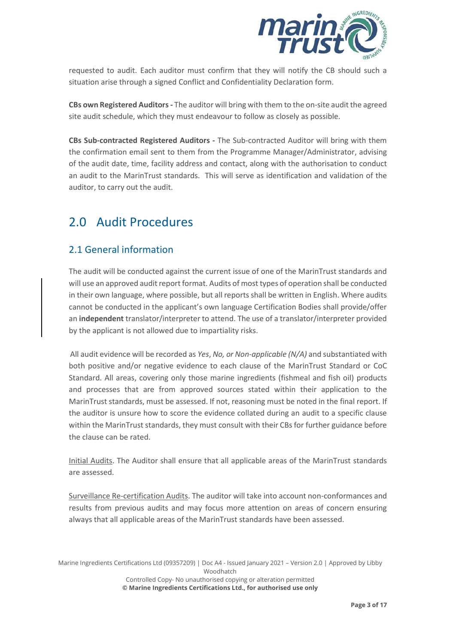

requested to audit. Each auditor must confirm that they will notify the CB should such a situation arise through a signed Conflict and Confidentiality Declaration form.

**CBs own Registered Auditors-** The auditor will bring with them to the on-site audit the agreed site audit schedule, which they must endeavour to follow as closely as possible.

**CBs Sub-contracted Registered Auditors -** The Sub-contracted Auditor will bring with them the confirmation email sent to them from the Programme Manager/Administrator, advising of the audit date, time, facility address and contact, along with the authorisation to conduct an audit to the MarinTrust standards. This will serve as identification and validation of the auditor, to carry out the audit.

## 2.0 Audit Procedures

### 2.1 General information

The audit will be conducted against the current issue of one of the MarinTrust standards and will use an approved audit report format. Audits of most types of operation shall be conducted in their own language, where possible, but all reports shall be written in English. Where audits cannot be conducted in the applicant's own language Certification Bodies shall provide/offer an **independent** translator/interpreter to attend. The use of a translator/interpreter provided by the applicant is not allowed due to impartiality risks.

 All audit evidence will be recorded as *Yes*, *No, or Non-applicable (N/A)* and substantiated with both positive and/or negative evidence to each clause of the MarinTrust Standard or CoC Standard. All areas, covering only those marine ingredients (fishmeal and fish oil) products and processes that are from approved sources stated within their application to the MarinTrust standards, must be assessed. If not, reasoning must be noted in the final report. If the auditor is unsure how to score the evidence collated during an audit to a specific clause within the MarinTrust standards, they must consult with their CBs for further guidance before the clause can be rated.

Initial Audits. The Auditor shall ensure that all applicable areas of the MarinTrust standards are assessed.

Surveillance Re-certification Audits. The auditor will take into account non-conformances and results from previous audits and may focus more attention on areas of concern ensuring always that all applicable areas of the MarinTrust standards have been assessed.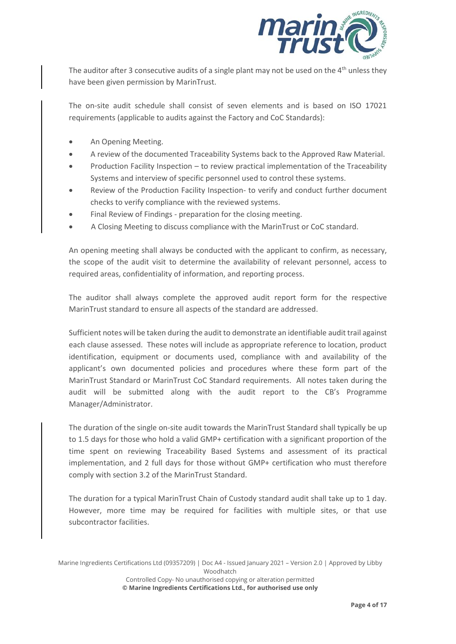

The auditor after 3 consecutive audits of a single plant may not be used on the  $4<sup>th</sup>$  unless they have been given permission by MarinTrust.

The on-site audit schedule shall consist of seven elements and is based on ISO 17021 requirements (applicable to audits against the Factory and CoC Standards):

- An Opening Meeting.
- A review of the documented Traceability Systems back to the Approved Raw Material.
- Production Facility Inspection to review practical implementation of the Traceability Systems and interview of specific personnel used to control these systems.
- Review of the Production Facility Inspection- to verify and conduct further document checks to verify compliance with the reviewed systems.
- Final Review of Findings preparation for the closing meeting.
- A Closing Meeting to discuss compliance with the MarinTrust or CoC standard.

An opening meeting shall always be conducted with the applicant to confirm, as necessary, the scope of the audit visit to determine the availability of relevant personnel, access to required areas, confidentiality of information, and reporting process.

The auditor shall always complete the approved audit report form for the respective MarinTrust standard to ensure all aspects of the standard are addressed.

Sufficient notes will be taken during the audit to demonstrate an identifiable audit trail against each clause assessed. These notes will include as appropriate reference to location, product identification, equipment or documents used, compliance with and availability of the applicant's own documented policies and procedures where these form part of the MarinTrust Standard or MarinTrust CoC Standard requirements. All notes taken during the audit will be submitted along with the audit report to the CB's Programme Manager/Administrator.

The duration of the single on-site audit towards the MarinTrust Standard shall typically be up to 1.5 days for those who hold a valid GMP+ certification with a significant proportion of the time spent on reviewing Traceability Based Systems and assessment of its practical implementation, and 2 full days for those without GMP+ certification who must therefore comply with section 3.2 of the MarinTrust Standard.

The duration for a typical MarinTrust Chain of Custody standard audit shall take up to 1 day. However, more time may be required for facilities with multiple sites, or that use subcontractor facilities.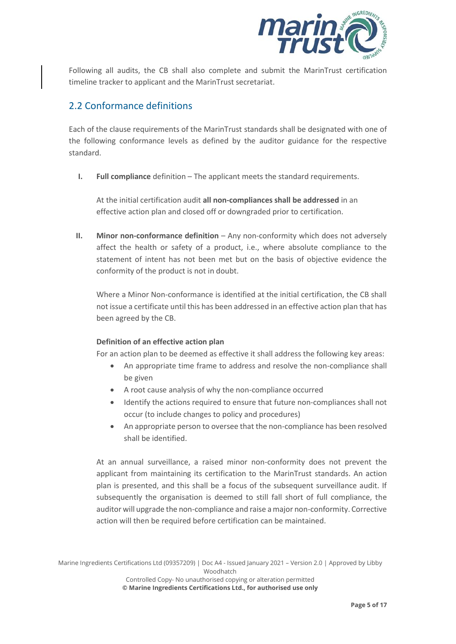

Following all audits, the CB shall also complete and submit the MarinTrust certification timeline tracker to applicant and the MarinTrust secretariat.

#### 2.2 Conformance definitions

Each of the clause requirements of the MarinTrust standards shall be designated with one of the following conformance levels as defined by the auditor guidance for the respective standard.

**I. Full compliance** definition – The applicant meets the standard requirements.

At the initial certification audit **all non-compliances shall be addressed** in an effective action plan and closed off or downgraded prior to certification.

**II. Minor non-conformance definition** – Any non-conformity which does not adversely affect the health or safety of a product, i.e., where absolute compliance to the statement of intent has not been met but on the basis of objective evidence the conformity of the product is not in doubt.

Where a Minor Non-conformance is identified at the initial certification, the CB shall not issue a certificate until this has been addressed in an effective action plan that has been agreed by the CB.

#### **Definition of an effective action plan**

For an action plan to be deemed as effective it shall address the following key areas:

- An appropriate time frame to address and resolve the non-compliance shall be given
- A root cause analysis of why the non-compliance occurred
- Identify the actions required to ensure that future non-compliances shall not occur (to include changes to policy and procedures)
- An appropriate person to oversee that the non-compliance has been resolved shall be identified.

At an annual surveillance, a raised minor non-conformity does not prevent the applicant from maintaining its certification to the MarinTrust standards. An action plan is presented, and this shall be a focus of the subsequent surveillance audit. If subsequently the organisation is deemed to still fall short of full compliance, the auditor will upgrade the non-compliance and raise a major non-conformity. Corrective action will then be required before certification can be maintained.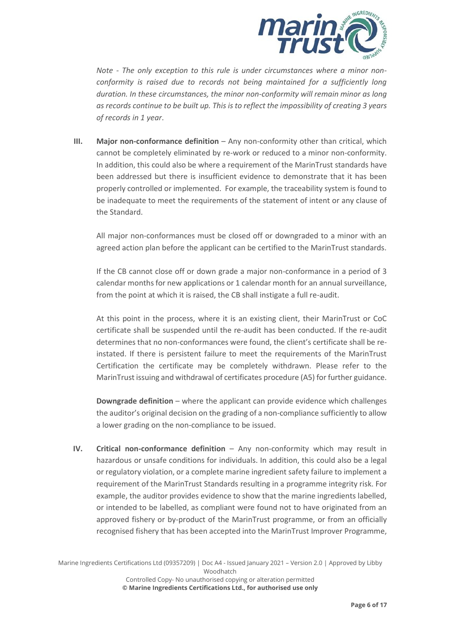

*Note - The only exception to this rule is under circumstances where a minor nonconformity is raised due to records not being maintained for a sufficiently long duration. In these circumstances, the minor non-conformity will remain minor as long as records continue to be built up. This is to reflect the impossibility of creating 3 years of records in 1 year*.

**III.** Major non-conformance definition – Any non-conformity other than critical, which cannot be completely eliminated by re-work or reduced to a minor non-conformity. In addition, this could also be where a requirement of the MarinTrust standards have been addressed but there is insufficient evidence to demonstrate that it has been properly controlled or implemented. For example, the traceability system is found to be inadequate to meet the requirements of the statement of intent or any clause of the Standard.

All major non-conformances must be closed off or downgraded to a minor with an agreed action plan before the applicant can be certified to the MarinTrust standards.

If the CB cannot close off or down grade a major non-conformance in a period of 3 calendar months for new applications or 1 calendar month for an annual surveillance, from the point at which it is raised, the CB shall instigate a full re-audit.

At this point in the process, where it is an existing client, their MarinTrust or CoC certificate shall be suspended until the re-audit has been conducted. If the re-audit determines that no non-conformances were found, the client's certificate shall be reinstated. If there is persistent failure to meet the requirements of the MarinTrust Certification the certificate may be completely withdrawn. Please refer to the MarinTrust issuing and withdrawal of certificates procedure (A5) for further guidance.

**Downgrade definition** – where the applicant can provide evidence which challenges the auditor's original decision on the grading of a non-compliance sufficiently to allow a lower grading on the non-compliance to be issued.

**IV. Critical non-conformance definition** – Any non-conformity which may result in hazardous or unsafe conditions for individuals. In addition, this could also be a legal or regulatory violation, or a complete marine ingredient safety failure to implement a requirement of the MarinTrust Standards resulting in a programme integrity risk. For example, the auditor provides evidence to show that the marine ingredients labelled, or intended to be labelled, as compliant were found not to have originated from an approved fishery or by-product of the MarinTrust programme, or from an officially recognised fishery that has been accepted into the MarinTrust Improver Programme,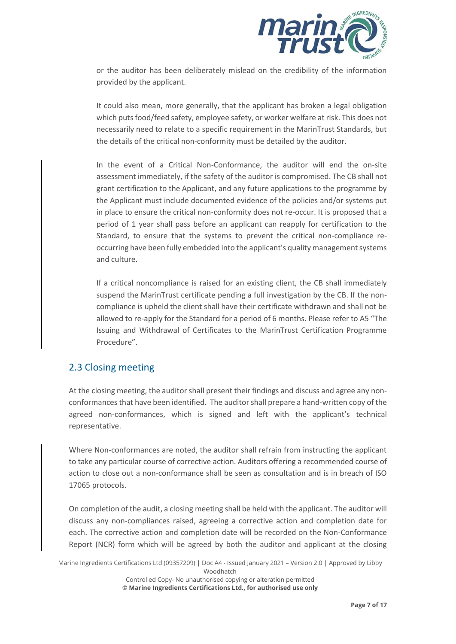

or the auditor has been deliberately mislead on the credibility of the information provided by the applicant.

It could also mean, more generally, that the applicant has broken a legal obligation which puts food/feed safety, employee safety, or worker welfare at risk. This does not necessarily need to relate to a specific requirement in the MarinTrust Standards, but the details of the critical non-conformity must be detailed by the auditor.

In the event of a Critical Non-Conformance, the auditor will end the on-site assessment immediately, if the safety of the auditor is compromised. The CB shall not grant certification to the Applicant, and any future applications to the programme by the Applicant must include documented evidence of the policies and/or systems put in place to ensure the critical non-conformity does not re-occur. It is proposed that a period of 1 year shall pass before an applicant can reapply for certification to the Standard, to ensure that the systems to prevent the critical non-compliance reoccurring have been fully embedded into the applicant's quality management systems and culture.

If a critical noncompliance is raised for an existing client, the CB shall immediately suspend the MarinTrust certificate pending a full investigation by the CB. If the noncompliance is upheld the client shall have their certificate withdrawn and shall not be allowed to re-apply for the Standard for a period of 6 months. Please refer to A5 "The Issuing and Withdrawal of Certificates to the MarinTrust Certification Programme Procedure".

#### 2.3 Closing meeting

At the closing meeting, the auditor shall present their findings and discuss and agree any nonconformances that have been identified. The auditor shall prepare a hand-written copy of the agreed non-conformances, which is signed and left with the applicant's technical representative.

Where Non-conformances are noted, the auditor shall refrain from instructing the applicant to take any particular course of corrective action. Auditors offering a recommended course of action to close out a non-conformance shall be seen as consultation and is in breach of ISO 17065 protocols.

On completion of the audit, a closing meeting shall be held with the applicant. The auditor will discuss any non-compliances raised, agreeing a corrective action and completion date for each. The corrective action and completion date will be recorded on the Non-Conformance Report (NCR) form which will be agreed by both the auditor and applicant at the closing

Marine Ingredients Certifications Ltd (09357209) | Doc A4 - Issued January 2021 – Version 2.0 | Approved by Libby Woodhatch Controlled Copy- No unauthorised copying or alteration permitted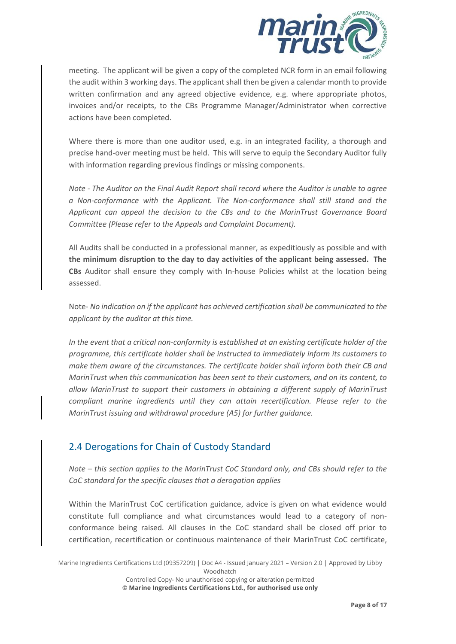

meeting. The applicant will be given a copy of the completed NCR form in an email following the audit within 3 working days. The applicant shall then be given a calendar month to provide written confirmation and any agreed objective evidence, e.g. where appropriate photos, invoices and/or receipts, to the CBs Programme Manager/Administrator when corrective actions have been completed.

Where there is more than one auditor used, e.g. in an integrated facility, a thorough and precise hand-over meeting must be held. This will serve to equip the Secondary Auditor fully with information regarding previous findings or missing components.

*Note - The Auditor on the Final Audit Report shall record where the Auditor is unable to agree a Non-conformance with the Applicant. The Non-conformance shall still stand and the Applicant can appeal the decision to the CBs and to the MarinTrust Governance Board Committee (Please refer to the Appeals and Complaint Document).*

All Audits shall be conducted in a professional manner, as expeditiously as possible and with **the minimum disruption to the day to day activities of the applicant being assessed. The CBs** Auditor shall ensure they comply with In-house Policies whilst at the location being assessed.

Note- *No indication on if the applicant has achieved certification shall be communicated to the applicant by the auditor at this time.*

*In the event that a critical non-conformity is established at an existing certificate holder of the programme, this certificate holder shall be instructed to immediately inform its customers to make them aware of the circumstances. The certificate holder shall inform both their CB and MarinTrust when this communication has been sent to their customers, and on its content, to allow MarinTrust to support their customers in obtaining a different supply of MarinTrust compliant marine ingredients until they can attain recertification. Please refer to the MarinTrust issuing and withdrawal procedure (A5) for further guidance.*

#### 2.4 Derogations for Chain of Custody Standard

*Note – this section applies to the MarinTrust CoC Standard only, and CBs should refer to the CoC standard for the specific clauses that a derogation applies*

Within the MarinTrust CoC certification guidance, advice is given on what evidence would constitute full compliance and what circumstances would lead to a category of nonconformance being raised. All clauses in the CoC standard shall be closed off prior to certification, recertification or continuous maintenance of their MarinTrust CoC certificate,

Marine Ingredients Certifications Ltd (09357209) | Doc A4 - Issued January 2021 – Version 2.0 | Approved by Libby Woodhatch Controlled Copy- No unauthorised copying or alteration permitted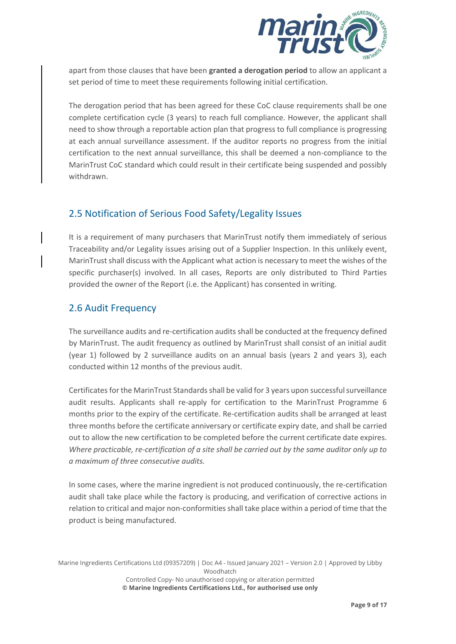

apart from those clauses that have been **granted a derogation period** to allow an applicant a set period of time to meet these requirements following initial certification.

The derogation period that has been agreed for these CoC clause requirements shall be one complete certification cycle (3 years) to reach full compliance. However, the applicant shall need to show through a reportable action plan that progress to full compliance is progressing at each annual surveillance assessment. If the auditor reports no progress from the initial certification to the next annual surveillance, this shall be deemed a non-compliance to the MarinTrust CoC standard which could result in their certificate being suspended and possibly withdrawn.

#### 2.5 Notification of Serious Food Safety/Legality Issues

It is a requirement of many purchasers that MarinTrust notify them immediately of serious Traceability and/or Legality issues arising out of a Supplier Inspection. In this unlikely event, MarinTrust shall discuss with the Applicant what action is necessary to meet the wishes of the specific purchaser(s) involved. In all cases, Reports are only distributed to Third Parties provided the owner of the Report (i.e. the Applicant) has consented in writing.

#### 2.6 Audit Frequency

The surveillance audits and re-certification audits shall be conducted at the frequency defined by MarinTrust. The audit frequency as outlined by MarinTrust shall consist of an initial audit (year 1) followed by 2 surveillance audits on an annual basis (years 2 and years 3), each conducted within 12 months of the previous audit.

Certificates for the MarinTrust Standards shall be valid for 3 years upon successful surveillance audit results. Applicants shall re-apply for certification to the MarinTrust Programme 6 months prior to the expiry of the certificate. Re-certification audits shall be arranged at least three months before the certificate anniversary or certificate expiry date, and shall be carried out to allow the new certification to be completed before the current certificate date expires. *Where practicable, re-certification of a site shall be carried out by the same auditor only up to a maximum of three consecutive audits.*

In some cases, where the marine ingredient is not produced continuously, the re-certification audit shall take place while the factory is producing, and verification of corrective actions in relation to critical and major non-conformities shall take place within a period of time that the product is being manufactured.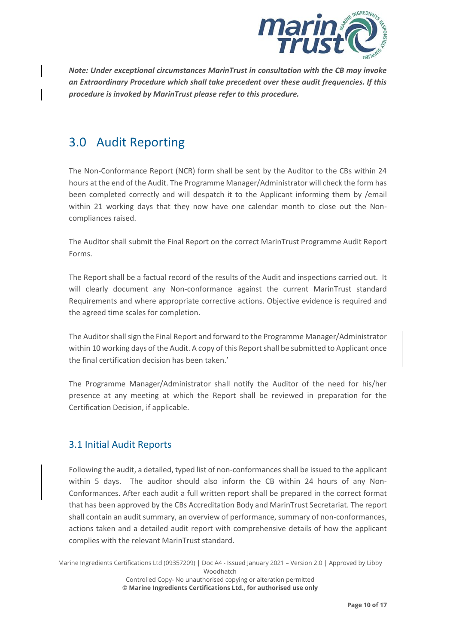

*Note: Under exceptional circumstances MarinTrust in consultation with the CB may invoke an Extraordinary Procedure which shall take precedent over these audit frequencies. If this procedure is invoked by MarinTrust please refer to this procedure.* 

## 3.0 Audit Reporting

The Non-Conformance Report (NCR) form shall be sent by the Auditor to the CBs within 24 hours at the end of the Audit. The Programme Manager/Administrator will check the form has been completed correctly and will despatch it to the Applicant informing them by /email within 21 working days that they now have one calendar month to close out the Noncompliances raised.

The Auditor shall submit the Final Report on the correct MarinTrust Programme Audit Report Forms.

The Report shall be a factual record of the results of the Audit and inspections carried out. It will clearly document any Non-conformance against the current MarinTrust standard Requirements and where appropriate corrective actions. Objective evidence is required and the agreed time scales for completion.

The Auditor shall sign the Final Report and forward to the Programme Manager/Administrator within 10 working days of the Audit. A copy of this Report shall be submitted to Applicant once the final certification decision has been taken.'

The Programme Manager/Administrator shall notify the Auditor of the need for his/her presence at any meeting at which the Report shall be reviewed in preparation for the Certification Decision, if applicable.

#### 3.1 Initial Audit Reports

Following the audit, a detailed, typed list of non-conformances shall be issued to the applicant within 5 days. The auditor should also inform the CB within 24 hours of any Non-Conformances. After each audit a full written report shall be prepared in the correct format that has been approved by the CBs Accreditation Body and MarinTrust Secretariat. The report shall contain an audit summary, an overview of performance, summary of non-conformances, actions taken and a detailed audit report with comprehensive details of how the applicant complies with the relevant MarinTrust standard.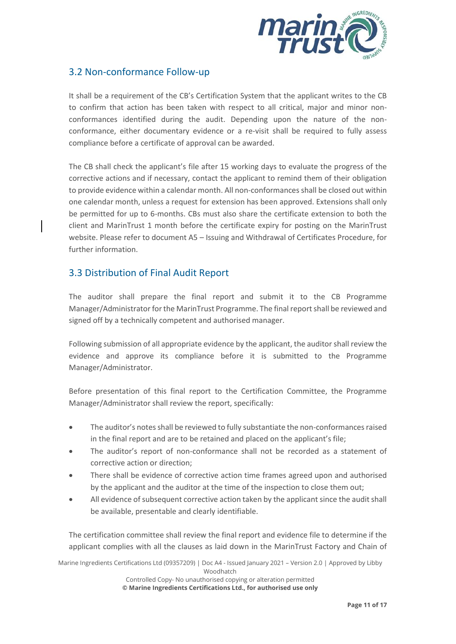

#### 3.2 Non-conformance Follow-up

It shall be a requirement of the CB's Certification System that the applicant writes to the CB to confirm that action has been taken with respect to all critical, major and minor nonconformances identified during the audit. Depending upon the nature of the nonconformance, either documentary evidence or a re-visit shall be required to fully assess compliance before a certificate of approval can be awarded.

The CB shall check the applicant's file after 15 working days to evaluate the progress of the corrective actions and if necessary, contact the applicant to remind them of their obligation to provide evidence within a calendar month. All non-conformances shall be closed out within one calendar month, unless a request for extension has been approved. Extensions shall only be permitted for up to 6-months. CBs must also share the certificate extension to both the client and MarinTrust 1 month before the certificate expiry for posting on the MarinTrust website. Please refer to document A5 – Issuing and Withdrawal of Certificates Procedure, for further information.

#### 3.3 Distribution of Final Audit Report

The auditor shall prepare the final report and submit it to the CB Programme Manager/Administrator for the MarinTrust Programme. The final report shall be reviewed and signed off by a technically competent and authorised manager.

Following submission of all appropriate evidence by the applicant, the auditor shall review the evidence and approve its compliance before it is submitted to the Programme Manager/Administrator.

Before presentation of this final report to the Certification Committee, the Programme Manager/Administrator shall review the report, specifically:

- The auditor's notes shall be reviewed to fully substantiate the non-conformances raised in the final report and are to be retained and placed on the applicant's file;
- The auditor's report of non-conformance shall not be recorded as a statement of corrective action or direction;
- There shall be evidence of corrective action time frames agreed upon and authorised by the applicant and the auditor at the time of the inspection to close them out;
- All evidence of subsequent corrective action taken by the applicant since the audit shall be available, presentable and clearly identifiable.

The certification committee shall review the final report and evidence file to determine if the applicant complies with all the clauses as laid down in the MarinTrust Factory and Chain of

Marine Ingredients Certifications Ltd (09357209) | Doc A4 - Issued January 2021 – Version 2.0 | Approved by Libby Woodhatch Controlled Copy- No unauthorised copying or alteration permitted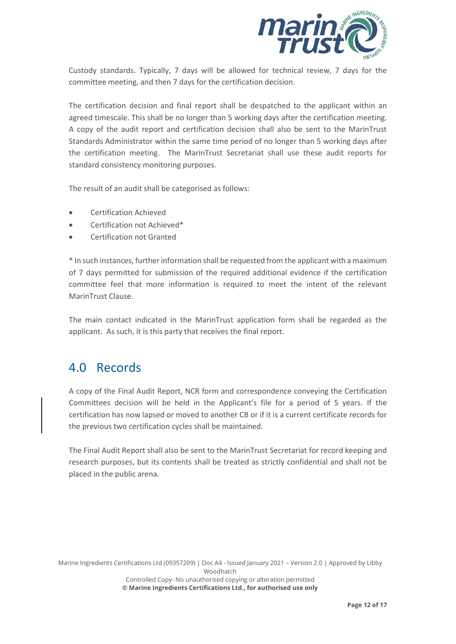

Custody standards. Typically, 7 days will be allowed for technical review, 7 days for the committee meeting, and then 7 days for the certification decision.

The certification decision and final report shall be despatched to the applicant within an agreed timescale. This shall be no longer than 5 working days after the certification meeting. A copy of the audit report and certification decision shall also be sent to the MarinTrust Standards Administrator within the same time period of no longer than 5 working days after the certification meeting. The MarinTrust Secretariat shall use these audit reports for standard consistency monitoring purposes.

The result of an audit shall be categorised as follows:

- Certification Achieved
- Certification not Achieved\*
- Certification not Granted

\* In such instances, further information shall be requested from the applicant with a maximum of 7 days permitted for submission of the required additional evidence if the certification committee feel that more information is required to meet the intent of the relevant MarinTrust Clause.

The main contact indicated in the MarinTrust application form shall be regarded as the applicant. As such, it is this party that receives the final report.

## 4.0 Records

A copy of the Final Audit Report, NCR form and correspondence conveying the Certification Committees decision will be held in the Applicant's file for a period of 5 years. If the certification has now lapsed or moved to another CB or if it is a current certificate records for the previous two certification cycles shall be maintained.

The Final Audit Report shall also be sent to the MarinTrust Secretariat for record keeping and research purposes, but its contents shall be treated as strictly confidential and shall not be placed in the public arena.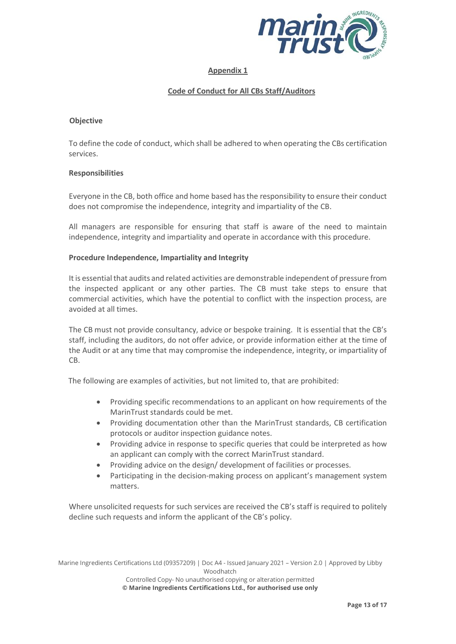

#### **Appendix 1**

#### **Code of Conduct for All CBs Staff/Auditors**

#### **Objective**

To define the code of conduct, which shall be adhered to when operating the CBs certification services.

#### **Responsibilities**

Everyone in the CB, both office and home based has the responsibility to ensure their conduct does not compromise the independence, integrity and impartiality of the CB.

All managers are responsible for ensuring that staff is aware of the need to maintain independence, integrity and impartiality and operate in accordance with this procedure.

#### **Procedure Independence, Impartiality and Integrity**

It is essential that audits and related activities are demonstrable independent of pressure from the inspected applicant or any other parties. The CB must take steps to ensure that commercial activities, which have the potential to conflict with the inspection process, are avoided at all times.

The CB must not provide consultancy, advice or bespoke training. It is essential that the CB's staff, including the auditors, do not offer advice, or provide information either at the time of the Audit or at any time that may compromise the independence, integrity, or impartiality of CB.

The following are examples of activities, but not limited to, that are prohibited:

- Providing specific recommendations to an applicant on how requirements of the MarinTrust standards could be met.
- Providing documentation other than the MarinTrust standards, CB certification protocols or auditor inspection guidance notes.
- Providing advice in response to specific queries that could be interpreted as how an applicant can comply with the correct MarinTrust standard.
- Providing advice on the design/ development of facilities or processes.
- Participating in the decision-making process on applicant's management system matters.

Where unsolicited requests for such services are received the CB's staff is required to politely decline such requests and inform the applicant of the CB's policy.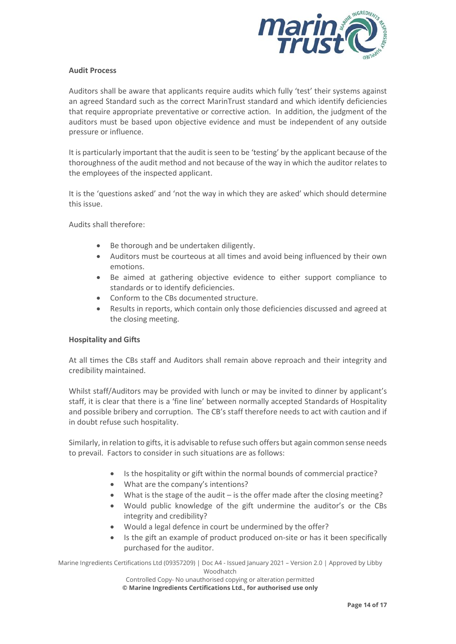

#### **Audit Process**

Auditors shall be aware that applicants require audits which fully 'test' their systems against an agreed Standard such as the correct MarinTrust standard and which identify deficiencies that require appropriate preventative or corrective action. In addition, the judgment of the auditors must be based upon objective evidence and must be independent of any outside pressure or influence.

It is particularly important that the audit is seen to be 'testing' by the applicant because of the thoroughness of the audit method and not because of the way in which the auditor relates to the employees of the inspected applicant.

It is the 'questions asked' and 'not the way in which they are asked' which should determine this issue.

Audits shall therefore:

- Be thorough and be undertaken diligently.
- Auditors must be courteous at all times and avoid being influenced by their own emotions.
- Be aimed at gathering objective evidence to either support compliance to standards or to identify deficiencies.
- Conform to the CBs documented structure.
- Results in reports, which contain only those deficiencies discussed and agreed at the closing meeting.

#### **Hospitality and Gifts**

At all times the CBs staff and Auditors shall remain above reproach and their integrity and credibility maintained.

Whilst staff/Auditors may be provided with lunch or may be invited to dinner by applicant's staff, it is clear that there is a 'fine line' between normally accepted Standards of Hospitality and possible bribery and corruption. The CB's staff therefore needs to act with caution and if in doubt refuse such hospitality.

Similarly, in relation to gifts, it is advisable to refuse such offers but again common sense needs to prevail. Factors to consider in such situations are as follows:

- Is the hospitality or gift within the normal bounds of commercial practice?
- What are the company's intentions?
- What is the stage of the audit is the offer made after the closing meeting?
- Would public knowledge of the gift undermine the auditor's or the CBs integrity and credibility?
- Would a legal defence in court be undermined by the offer?
- Is the gift an example of product produced on-site or has it been specifically purchased for the auditor.

Marine Ingredients Certifications Ltd (09357209) | Doc A4 - Issued January 2021 – Version 2.0 | Approved by Libby Woodhatch

Controlled Copy- No unauthorised copying or alteration permitted **© Marine Ingredients Certifications Ltd., for authorised use only**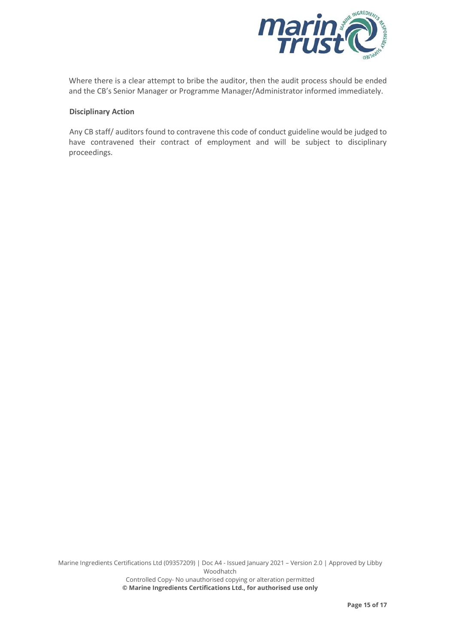

Where there is a clear attempt to bribe the auditor, then the audit process should be ended and the CB's Senior Manager or Programme Manager/Administrator informed immediately.

#### **Disciplinary Action**

Any CB staff/ auditors found to contravene this code of conduct guideline would be judged to have contravened their contract of employment and will be subject to disciplinary proceedings.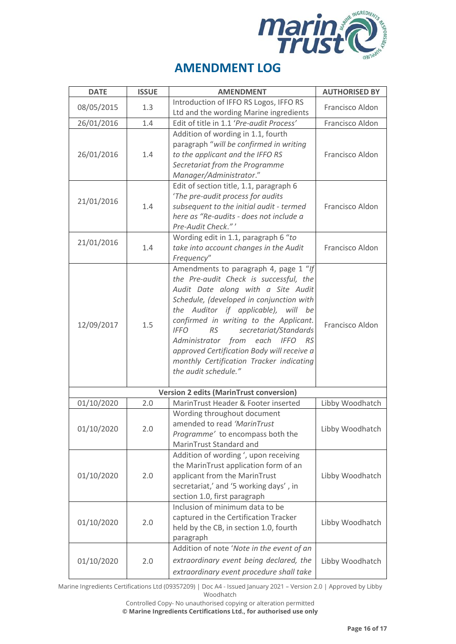

| <b>DATE</b>                                    | <b>ISSUE</b> | <b>AMENDMENT</b>                                                                                                                                                                                                                                                                                                                                                                                                                                                               | <b>AUTHORISED BY</b> |  |
|------------------------------------------------|--------------|--------------------------------------------------------------------------------------------------------------------------------------------------------------------------------------------------------------------------------------------------------------------------------------------------------------------------------------------------------------------------------------------------------------------------------------------------------------------------------|----------------------|--|
| 08/05/2015                                     | 1.3          | Introduction of IFFO RS Logos, IFFO RS<br>Ltd and the wording Marine ingredients                                                                                                                                                                                                                                                                                                                                                                                               | Francisco Aldon      |  |
| 26/01/2016                                     | 1.4          | Edit of title in 1.1 'Pre-audit Process'                                                                                                                                                                                                                                                                                                                                                                                                                                       | Francisco Aldon      |  |
| 26/01/2016                                     | 1.4          | Addition of wording in 1.1, fourth<br>paragraph "will be confirmed in writing<br>to the applicant and the IFFO RS<br>Secretariat from the Programme<br>Manager/Administrator."                                                                                                                                                                                                                                                                                                 | Francisco Aldon      |  |
| 21/01/2016                                     | 1.4          | Edit of section title, 1.1, paragraph 6<br>'The pre-audit process for audits<br>subsequent to the initial audit - termed<br>here as "Re-audits - does not include a<br>Pre-Audit Check."'                                                                                                                                                                                                                                                                                      | Francisco Aldon      |  |
| 21/01/2016                                     | 1.4          | Wording edit in 1.1, paragraph 6 "to<br>take into account changes in the Audit<br>Frequency"                                                                                                                                                                                                                                                                                                                                                                                   | Francisco Aldon      |  |
| 12/09/2017                                     | 1.5          | Amendments to paragraph 4, page 1 "If<br>the Pre-audit Check is successful, the<br>Audit Date along with a Site Audit<br>Schedule, (developed in conjunction with<br>the Auditor if applicable), will be<br>confirmed in writing to the Applicant.<br>secretariat/Standards<br><b>IFFO</b><br><b>RS</b><br>Administrator from<br>each<br><b>IFFO</b><br>- RS<br>approved Certification Body will receive a<br>monthly Certification Tracker indicating<br>the audit schedule." | Francisco Aldon      |  |
| <b>Version 2 edits (MarinTrust conversion)</b> |              |                                                                                                                                                                                                                                                                                                                                                                                                                                                                                |                      |  |
| 01/10/2020                                     | 2.0          | MarinTrust Header & Footer inserted                                                                                                                                                                                                                                                                                                                                                                                                                                            | Libby Woodhatch      |  |
| 01/10/2020                                     | 2.0          | Wording throughout document<br>amended to read 'MarinTrust<br>Programme' to encompass both the<br>MarinTrust Standard and                                                                                                                                                                                                                                                                                                                                                      | Libby Woodhatch      |  |
| 01/10/2020                                     | 2.0          | Addition of wording ', upon receiving<br>the MarinTrust application form of an<br>applicant from the MarinTrust<br>secretariat,' and '5 working days', in<br>section 1.0, first paragraph                                                                                                                                                                                                                                                                                      | Libby Woodhatch      |  |
| 01/10/2020                                     | 2.0          | Inclusion of minimum data to be<br>captured in the Certification Tracker<br>held by the CB, in section 1.0, fourth<br>paragraph                                                                                                                                                                                                                                                                                                                                                | Libby Woodhatch      |  |
| 01/10/2020                                     | 2.0          | Addition of note 'Note in the event of an<br>extraordinary event being declared, the<br>extraordinary event procedure shall take                                                                                                                                                                                                                                                                                                                                               | Libby Woodhatch      |  |

Marine Ingredients Certifications Ltd (09357209) | Doc A4 - Issued January 2021 – Version 2.0 | Approved by Libby Woodhatch

Controlled Copy- No unauthorised copying or alteration permitted